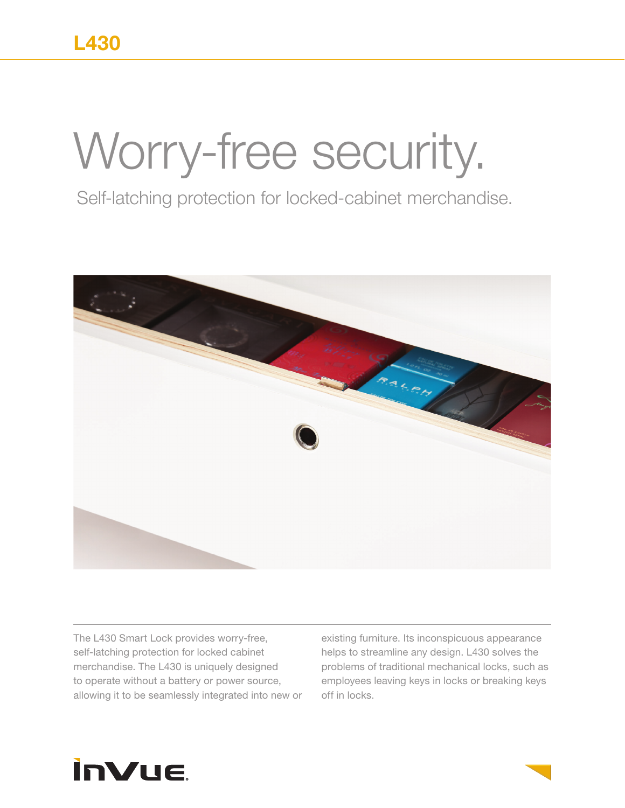## Worry-free security.

Self-latching protection for locked-cabinet merchandise.



The L430 Smart Lock provides worry-free, self-latching protection for locked cabinet merchandise. The L430 is uniquely designed to operate without a battery or power source, allowing it to be seamlessly integrated into new or existing furniture. Its inconspicuous appearance helps to streamline any design. L430 solves the problems of traditional mechanical locks, such as employees leaving keys in locks or breaking keys off in locks.

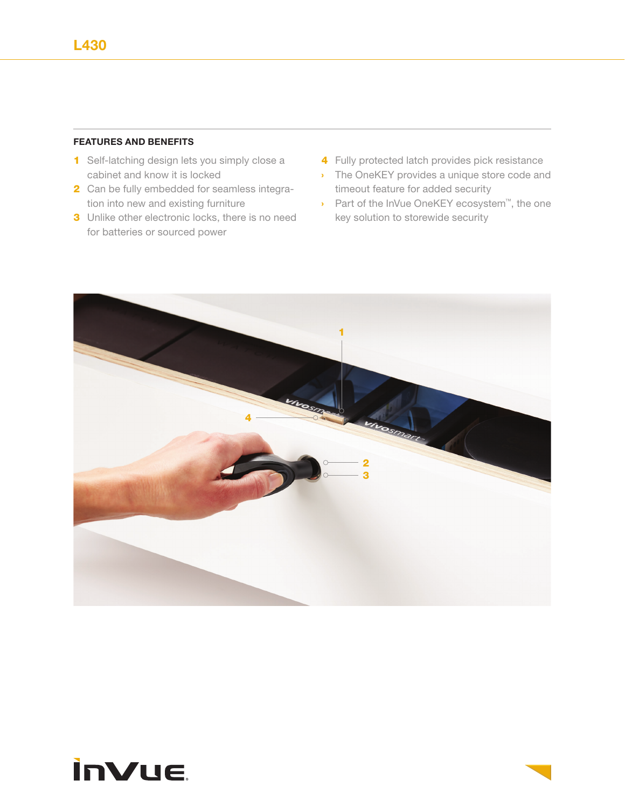## **FEATURES AND BENEFITS**

- 1 Self-latching design lets you simply close a cabinet and know it is locked
- 2 Can be fully embedded for seamless integration into new and existing furniture
- **3** Unlike other electronic locks, there is no need for batteries or sourced power
- 4 Fully protected latch provides pick resistance
- › The OneKEY provides a unique store code and timeout feature for added security
- › Part of the InVue OneKEY ecosystem™, the one key solution to storewide security